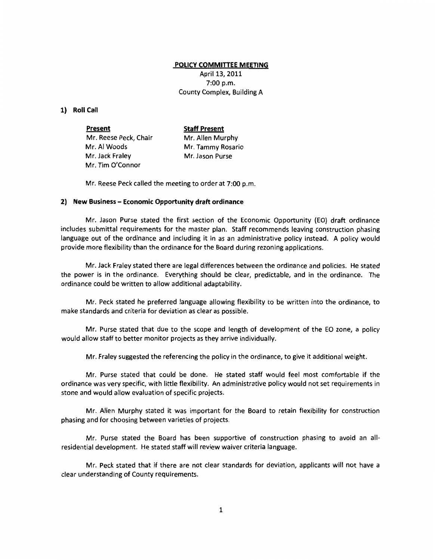## **POLICY COMMITTEE MEETING**

April 13, 2011 7:00 p.m. County Complex, Building A

## **1) Roll Call**

**Present**  Mr. Reese Peck, Chair Mr. AI Woods Mr. Jack Fraley Mr. Tim O'Connor **Staff Present**  Mr. Allen Murphy Mr. Tammy Rosario Mr. Jason Purse

Mr. Reese Peck called the meeting to order at 7:00 p.m.

## **2) New Business- Economic Opportunity draft ordinance**

Mr. Jason Purse stated the first section of the Economic Opportunity (EO) draft ordinance includes submittal requirements for the master plan. Staff recommends leaving construction phasing language out of the ordinance and including it in as an administrative policy instead. A policy would provide more flexibility than the ordinance for the Board during rezoning applications.

Mr. Jack Fraley stated there are legal differences between the ordinance and policies. He stated the power is in the ordinance. Everything should be clear, predictable, and in the ordinance. The ordinance could be written to allow additional adaptability.

Mr. Peck stated he preferred language allowing flexibility to be written into the ordinance, to make standards and criteria for deviation as clear as possible.

Mr. Purse stated that due to the scope and length of development of the EO zone, a policy would allow staff to better monitor projects as they arrive individually.

Mr. Fraley suggested the referencing the policy in the ordinance, to give it additional weight.

Mr. Purse stated that could be done. He stated staff would feel most comfortable if the ordinance was very specific, with little flexibility. An administrative policy would not set requirements in stone and would allow evaluation of specific projects.

Mr. Allen Murphy stated it was important for the Board to retain flexibility for construction phasing and for choosing between varieties of projects.

Mr. Purse stated the Board has been supportive of construction phasing to avoid an allresidential development. He stated staff will review waiver criteria language.

Mr. Peck stated that if there are not clear standards for deviation, applicants will not have a clear understanding of County requirements.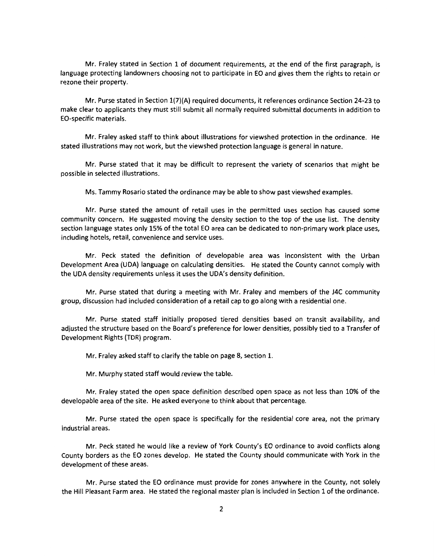Mr. Fraley stated in Section 1 of document requirements, at the end of the first paragraph, is language protecting landowners choosing not to participate in EO and gives them the rights to retain or rezone their property.

Mr. Purse stated in Section 1(7)(A) required documents, it references ordinance Section 24-23 to make clear to applicants they must still submit all normally required submittal documents in addition to EO-specific materials.

Mr. Fraley asked staff to think about illustrations for viewshed protection in the ordinance. He stated illustrations may not work, but the viewshed protection language is general in nature.

Mr. Purse stated that it may be difficult to represent the variety of scenarios that might be possible in selected illustrations.

Ms. Tammy Rosario stated the ordinance may be able to show past viewshed examples.

Mr. Purse stated the amount of retail uses in the permitted uses section has caused some community concern. He suggested moving the density section to the top of the use list. The density section language states only 15% of the total EO area can be dedicated to non-primary work place uses, including hotels, retail, convenience and service uses.

Mr. Peck stated the definition of developable area was inconsistent with the Urban Development Area (UDA) language on calculating densities. He stated the County cannot comply with the UDA density requirements unless it uses the UDA's density definition.

Mr. Purse stated that during a meeting with Mr. Fraley and members of the J4C community group, discussion had included consideration of a retail cap to go along with a residential one.

Mr. Purse stated staff initially proposed tiered densities based on transit availability, and adjusted the structure based on the Board's preference for lower densities, possibly tied to a Transfer of Development Rights (TOR) program.

Mr. Fraley asked staff to clarify the table on page 8, section 1.

Mr. Murphy stated staff would review the table.

Mr. Fraley stated the open space definition described open space as not less than 10% of the developable area of the site. He asked everyone to think about that percentage.

Mr. Purse stated the open space is specifically for the residential core area, not the primary industrial areas.

Mr. Peck stated he would like a review of York County's EO ordinance to avoid conflicts along County borders as the EO zones develop. He stated the County should communicate with York in the development of these areas.

Mr. Purse stated the EO ordinance must provide for zones anywhere in the County, not solely the Hill Pleasant Farm area. He stated the regional master plan is included in Section 1 of the ordinance.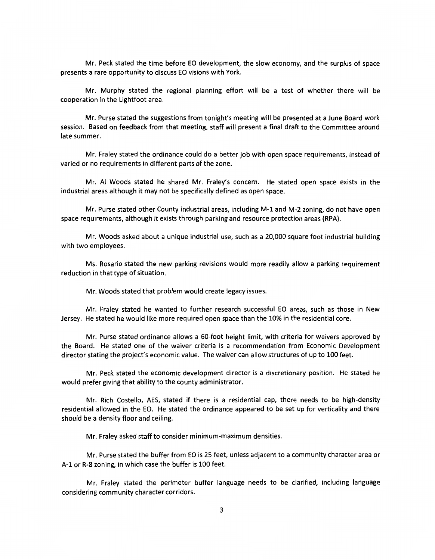Mr. Peck stated the time before EO development, the slow economy, and the surplus of space presents a rare opportunity to discuss EO visions with York.

Mr. Murphy stated the regional planning effort will be a test of whether there will be cooperation in the Lightfoot area.

Mr. Purse stated the suggestions from tonight's meeting will be presented at a June Board work session. Based on feedback from that meeting, staff will present a final draft to the Committee around late summer.

Mr. Fraley stated the ordinance could do a better job with open space requirements, instead of varied or no requirements in different parts of the zone.

Mr. AI Woods stated he shared Mr. Fraley's concern. He stated open space exists in the industrial areas although it may not be specifically defined as open space.

Mr. Purse stated other County industrial areas, including M-1 and M-2 zoning, do not have open space requirements, although it exists through parking and resource protection areas (RPA).

Mr. Woods asked about a unique industrial use, such as a 20,000 square foot industrial building with two employees.

Ms. Rosario stated the new parking revisions would more readily allow a parking requirement reduction in that type of situation.

Mr. Woods stated that problem would create legacy issues.

Mr. Fraley stated he wanted to further research successful EO areas, such as those in New Jersey. He stated he would like more required open space than the 10% in the residential core.

Mr. Purse stated ordinance allows a 60-foot height limit, with criteria for waivers approved by the Board. He stated one of the waiver criteria is a recommendation from Economic Development director stating the project's economic value. The waiver can allow structures of up to 100 feet.

Mr. Peck stated the economic development director is a discretionary position. He stated he would prefer giving that ability to the county administrator.

Mr. Rich Costello, AES, stated if there is a residential cap, there needs to be high-density residential allowed in the EO. He stated the ordinance appeared to be set up for verticality and there should be a density floor and ceiling.

Mr. Fraley asked staff to consider minimum-maximum densities.

Mr. Purse stated the buffer from EO is 25 feet, unless adjacent to a community character area or A-1 or R-8 zoning, in which case the buffer is 100 feet.

Mr. Fraley stated the perimeter buffer language needs to be clarified, including language considering community character corridors.